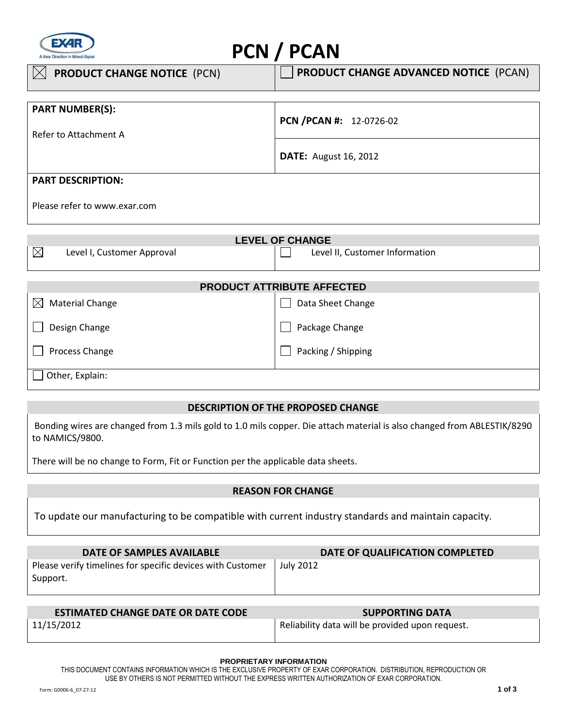

# **PCN / PCAN**

| $\boxtimes$<br><b>PRODUCT CHANGE NOTICE (PCN)</b> | <b>PRODUCT CHANGE ADVANCED NOTICE (PCAN)</b> |
|---------------------------------------------------|----------------------------------------------|
|                                                   |                                              |
| <b>PART NUMBER(S):</b>                            |                                              |
|                                                   | PCN /PCAN #: 12-0726-02                      |
| Refer to Attachment A                             |                                              |
|                                                   |                                              |
|                                                   | <b>DATE:</b> August 16, 2012                 |
|                                                   |                                              |
| <b>PART DESCRIPTION:</b>                          |                                              |
|                                                   |                                              |
| Please refer to www.exar.com                      |                                              |

| <b>LEVEL OF CHANGE</b>                    |                                   |  |  |  |
|-------------------------------------------|-----------------------------------|--|--|--|
| $\boxtimes$<br>Level I, Customer Approval | Level II, Customer Information    |  |  |  |
|                                           |                                   |  |  |  |
|                                           | <b>PRODUCT ATTRIBUTE AFFECTED</b> |  |  |  |
| <b>Material Change</b><br>$\bowtie$       | Data Sheet Change                 |  |  |  |
| Design Change                             | Package Change                    |  |  |  |
| Process Change                            | Packing / Shipping                |  |  |  |
|                                           |                                   |  |  |  |

Other, Explain:

## **DESCRIPTION OF THE PROPOSED CHANGE**

 Bonding wires are changed from 1.3 mils gold to 1.0 mils copper. Die attach material is also changed from ABLESTIK/8290 to NAMICS/9800.

There will be no change to Form, Fit or Function per the applicable data sheets.

# **REASON FOR CHANGE**

To update our manufacturing to be compatible with current industry standards and maintain capacity.

| DATE OF SAMPLES AVAILABLE                                              | DATE OF QUALIFICATION COMPLETED |
|------------------------------------------------------------------------|---------------------------------|
| Please verify timelines for specific devices with Customer<br>Support. | July 2012                       |

| <b>ESTIMATED CHANGE DATE OR DATE CODE</b> | <b>SUPPORTING DATA</b>                          |
|-------------------------------------------|-------------------------------------------------|
| 11/15/2012                                | Reliability data will be provided upon request. |

#### **PROPRIETARY INFORMATION**

THIS DOCUMENT CONTAINS INFORMATION WHICH IS THE EXCLUSIVE PROPERTY OF EXAR CORPORATION. DISTRIBUTION, REPRODUCTION OR USE BY OTHERS IS NOT PERMITTED WITHOUT THE EXPRESS WRITTEN AUTHORIZATION OF EXAR CORPORATION.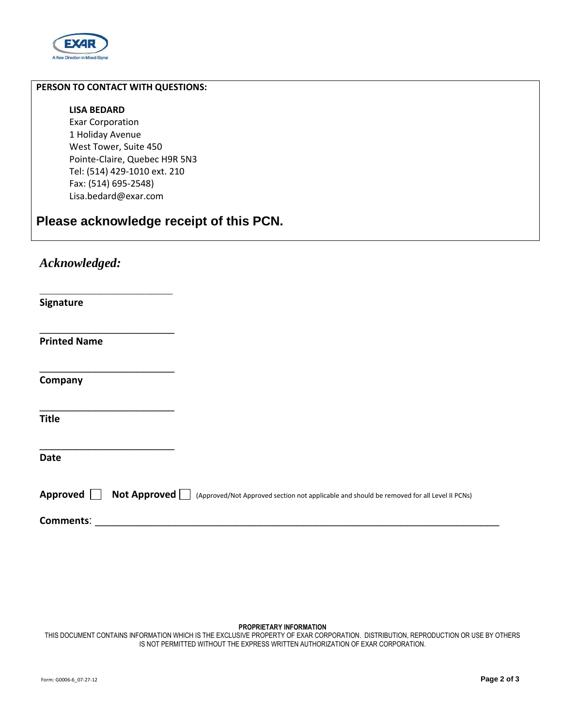

## **PERSON TO CONTACT WITH QUESTIONS:**

#### **LISA BEDARD**

Exar Corporation 1 Holiday Avenue West Tower, Suite 450 Pointe-Claire, Quebec H9R 5N3 Tel: (514) 429-1010 ext. 210 Fax: (514) 695-2548) Lisa.bedard@exar.com

# **Please acknowledge receipt of this PCN.**

# *Acknowledged:*

\_\_\_\_\_\_\_\_\_\_\_\_\_\_\_\_\_\_\_\_\_\_\_\_\_\_\_\_\_

\_\_\_\_\_\_\_\_\_\_\_\_\_\_\_\_\_\_\_\_\_\_

\_\_\_\_\_\_\_\_\_\_\_\_\_\_\_\_\_\_\_\_\_\_

\_\_\_\_\_\_\_\_\_\_\_\_\_\_\_\_\_\_\_\_\_\_

\_\_\_\_\_\_\_\_\_\_\_\_\_\_\_\_\_\_\_\_\_\_

**Signature** 

**Printed Name** 

**Company** 

**Title** 

**Date** 

|  |  | Approved $\Box$ Not Approved $\Box$ (Approved/Not Approved section not applicable and should be removed for all Level II PCNs) |
|--|--|--------------------------------------------------------------------------------------------------------------------------------|
|--|--|--------------------------------------------------------------------------------------------------------------------------------|

**Comments**: \_\_\_\_\_\_\_\_\_\_\_\_\_\_\_\_\_\_\_\_\_\_\_\_\_\_\_\_\_\_\_\_\_\_\_\_\_\_\_\_\_\_\_\_\_\_\_\_\_\_\_\_\_\_\_\_\_\_\_\_\_\_\_\_\_\_

#### **PROPRIETARY INFORMATION**

THIS DOCUMENT CONTAINS INFORMATION WHICH IS THE EXCLUSIVE PROPERTY OF EXAR CORPORATION. DISTRIBUTION, REPRODUCTION OR USE BY OTHERS IS NOT PERMITTED WITHOUT THE EXPRESS WRITTEN AUTHORIZATION OF EXAR CORPORATION.